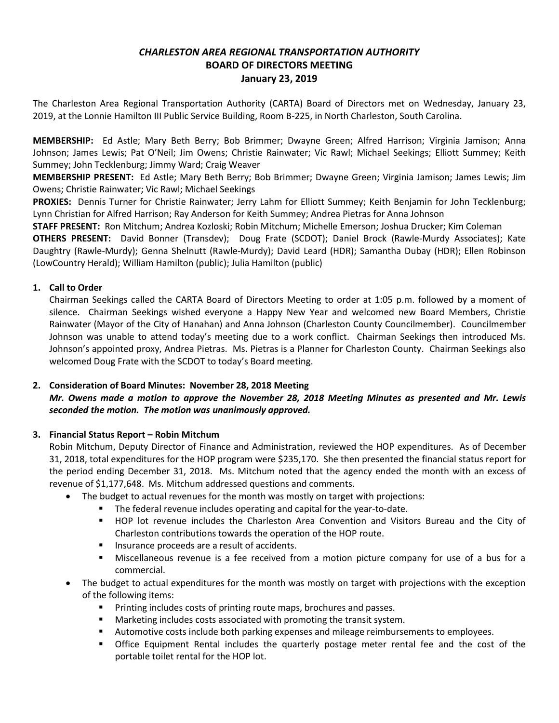# *CHARLESTON AREA REGIONAL TRANSPORTATION AUTHORITY* **BOARD OF DIRECTORS MEETING January 23, 2019**

The Charleston Area Regional Transportation Authority (CARTA) Board of Directors met on Wednesday, January 23, 2019, at the Lonnie Hamilton III Public Service Building, Room B-225, in North Charleston, South Carolina.

**MEMBERSHIP:** Ed Astle; Mary Beth Berry; Bob Brimmer; Dwayne Green; Alfred Harrison; Virginia Jamison; Anna Johnson; James Lewis; Pat O'Neil; Jim Owens; Christie Rainwater; Vic Rawl; Michael Seekings; Elliott Summey; Keith Summey; John Tecklenburg; Jimmy Ward; Craig Weaver

**MEMBERSHIP PRESENT:** Ed Astle; Mary Beth Berry; Bob Brimmer; Dwayne Green; Virginia Jamison; James Lewis; Jim Owens; Christie Rainwater; Vic Rawl; Michael Seekings

**PROXIES:** Dennis Turner for Christie Rainwater; Jerry Lahm for Elliott Summey; Keith Benjamin for John Tecklenburg; Lynn Christian for Alfred Harrison; Ray Anderson for Keith Summey; Andrea Pietras for Anna Johnson

**STAFF PRESENT:** Ron Mitchum; Andrea Kozloski; Robin Mitchum; Michelle Emerson; Joshua Drucker; Kim Coleman

**OTHERS PRESENT:** David Bonner (Transdev); Doug Frate (SCDOT); Daniel Brock (Rawle-Murdy Associates); Kate Daughtry (Rawle-Murdy); Genna Shelnutt (Rawle-Murdy); David Leard (HDR); Samantha Dubay (HDR); Ellen Robinson (LowCountry Herald); William Hamilton (public); Julia Hamilton (public)

## **1. Call to Order**

Chairman Seekings called the CARTA Board of Directors Meeting to order at 1:05 p.m. followed by a moment of silence. Chairman Seekings wished everyone a Happy New Year and welcomed new Board Members, Christie Rainwater (Mayor of the City of Hanahan) and Anna Johnson (Charleston County Councilmember). Councilmember Johnson was unable to attend today's meeting due to a work conflict. Chairman Seekings then introduced Ms. Johnson's appointed proxy, Andrea Pietras. Ms. Pietras is a Planner for Charleston County. Chairman Seekings also welcomed Doug Frate with the SCDOT to today's Board meeting.

## **2. Consideration of Board Minutes: November 28, 2018 Meeting**

*Mr. Owens made a motion to approve the November 28, 2018 Meeting Minutes as presented and Mr. Lewis seconded the motion. The motion was unanimously approved.*

## **3. Financial Status Report – Robin Mitchum**

Robin Mitchum, Deputy Director of Finance and Administration, reviewed the HOP expenditures. As of December 31, 2018, total expenditures for the HOP program were \$235,170. She then presented the financial status report for the period ending December 31, 2018. Ms. Mitchum noted that the agency ended the month with an excess of revenue of \$1,177,648. Ms. Mitchum addressed questions and comments.

- The budget to actual revenues for the month was mostly on target with projections:
	- **The federal revenue includes operating and capital for the year-to-date.**
	- HOP lot revenue includes the Charleston Area Convention and Visitors Bureau and the City of Charleston contributions towards the operation of the HOP route.
	- **Insurance proceeds are a result of accidents.**
	- Miscellaneous revenue is a fee received from a motion picture company for use of a bus for a commercial.
- The budget to actual expenditures for the month was mostly on target with projections with the exception of the following items:
	- **Printing includes costs of printing route maps, brochures and passes.**
	- Marketing includes costs associated with promoting the transit system.
	- **Automotive costs include both parking expenses and mileage reimbursements to employees.**
	- Office Equipment Rental includes the quarterly postage meter rental fee and the cost of the portable toilet rental for the HOP lot.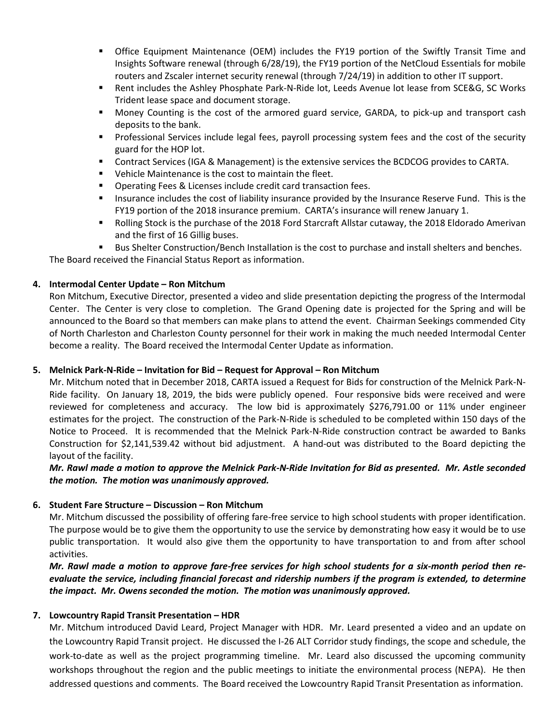- Office Equipment Maintenance (OEM) includes the FY19 portion of the Swiftly Transit Time and Insights Software renewal (through 6/28/19), the FY19 portion of the NetCloud Essentials for mobile routers and Zscaler internet security renewal (through 7/24/19) in addition to other IT support.
- Rent includes the Ashley Phosphate Park-N-Ride lot, Leeds Avenue lot lease from SCE&G, SC Works Trident lease space and document storage.
- Money Counting is the cost of the armored guard service, GARDA, to pick-up and transport cash deposits to the bank.
- Professional Services include legal fees, payroll processing system fees and the cost of the security guard for the HOP lot.
- Contract Services (IGA & Management) is the extensive services the BCDCOG provides to CARTA.
- Vehicle Maintenance is the cost to maintain the fleet.
- **Dearating Fees & Licenses include credit card transaction fees.**
- **Insurance includes the cost of liability insurance provided by the Insurance Reserve Fund. This is the** FY19 portion of the 2018 insurance premium. CARTA's insurance will renew January 1.
- **Rolling Stock is the purchase of the 2018 Ford Starcraft Allstar cutaway, the 2018 Eldorado Amerivan** and the first of 16 Gillig buses.
- Bus Shelter Construction/Bench Installation is the cost to purchase and install shelters and benches.

The Board received the Financial Status Report as information.

#### **4. Intermodal Center Update – Ron Mitchum**

Ron Mitchum, Executive Director, presented a video and slide presentation depicting the progress of the Intermodal Center. The Center is very close to completion. The Grand Opening date is projected for the Spring and will be announced to the Board so that members can make plans to attend the event. Chairman Seekings commended City of North Charleston and Charleston County personnel for their work in making the much needed Intermodal Center become a reality. The Board received the Intermodal Center Update as information.

#### **5. Melnick Park-N-Ride – Invitation for Bid – Request for Approval – Ron Mitchum**

Mr. Mitchum noted that in December 2018, CARTA issued a Request for Bids for construction of the Melnick Park-N-Ride facility. On January 18, 2019, the bids were publicly opened. Four responsive bids were received and were reviewed for completeness and accuracy. The low bid is approximately \$276,791.00 or 11% under engineer estimates for the project. The construction of the Park-N-Ride is scheduled to be completed within 150 days of the Notice to Proceed. It is recommended that the Melnick Park-N-Ride construction contract be awarded to Banks Construction for \$2,141,539.42 without bid adjustment. A hand-out was distributed to the Board depicting the layout of the facility.

*Mr. Rawl made a motion to approve the Melnick Park-N-Ride Invitation for Bid as presented. Mr. Astle seconded the motion. The motion was unanimously approved.*

## **6. Student Fare Structure – Discussion – Ron Mitchum**

Mr. Mitchum discussed the possibility of offering fare-free service to high school students with proper identification. The purpose would be to give them the opportunity to use the service by demonstrating how easy it would be to use public transportation. It would also give them the opportunity to have transportation to and from after school activities.

*Mr. Rawl made a motion to approve fare-free services for high school students for a six-month period then reevaluate the service, including financial forecast and ridership numbers if the program is extended, to determine the impact. Mr. Owens seconded the motion. The motion was unanimously approved.*

#### **7. Lowcountry Rapid Transit Presentation – HDR**

Mr. Mitchum introduced David Leard, Project Manager with HDR. Mr. Leard presented a video and an update on the Lowcountry Rapid Transit project. He discussed the I-26 ALT Corridor study findings, the scope and schedule, the work-to-date as well as the project programming timeline. Mr. Leard also discussed the upcoming community workshops throughout the region and the public meetings to initiate the environmental process (NEPA). He then addressed questions and comments. The Board received the Lowcountry Rapid Transit Presentation as information.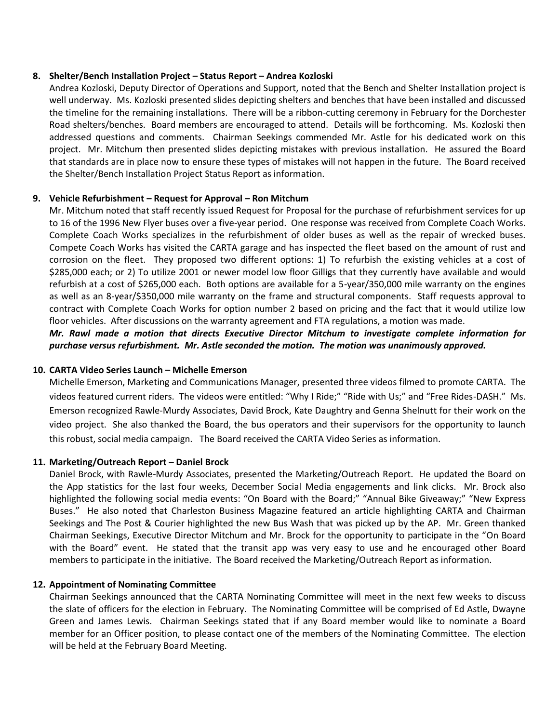#### **8. Shelter/Bench Installation Project – Status Report – Andrea Kozloski**

Andrea Kozloski, Deputy Director of Operations and Support, noted that the Bench and Shelter Installation project is well underway. Ms. Kozloski presented slides depicting shelters and benches that have been installed and discussed the timeline for the remaining installations. There will be a ribbon-cutting ceremony in February for the Dorchester Road shelters/benches. Board members are encouraged to attend. Details will be forthcoming. Ms. Kozloski then addressed questions and comments. Chairman Seekings commended Mr. Astle for his dedicated work on this project. Mr. Mitchum then presented slides depicting mistakes with previous installation. He assured the Board that standards are in place now to ensure these types of mistakes will not happen in the future. The Board received the Shelter/Bench Installation Project Status Report as information.

#### **9. Vehicle Refurbishment – Request for Approval – Ron Mitchum**

Mr. Mitchum noted that staff recently issued Request for Proposal for the purchase of refurbishment services for up to 16 of the 1996 New Flyer buses over a five-year period. One response was received from Complete Coach Works. Complete Coach Works specializes in the refurbishment of older buses as well as the repair of wrecked buses. Compete Coach Works has visited the CARTA garage and has inspected the fleet based on the amount of rust and corrosion on the fleet. They proposed two different options: 1) To refurbish the existing vehicles at a cost of \$285,000 each; or 2) To utilize 2001 or newer model low floor Gilligs that they currently have available and would refurbish at a cost of \$265,000 each. Both options are available for a 5-year/350,000 mile warranty on the engines as well as an 8-year/\$350,000 mile warranty on the frame and structural components. Staff requests approval to contract with Complete Coach Works for option number 2 based on pricing and the fact that it would utilize low floor vehicles. After discussions on the warranty agreement and FTA regulations, a motion was made.

*Mr. Rawl made a motion that directs Executive Director Mitchum to investigate complete information for purchase versus refurbishment. Mr. Astle seconded the motion. The motion was unanimously approved.*

#### **10. CARTA Video Series Launch – Michelle Emerson**

Michelle Emerson, Marketing and Communications Manager, presented three videos filmed to promote CARTA. The videos featured current riders. The videos were entitled: "Why I Ride;" "Ride with Us;" and "Free Rides-DASH." Ms. Emerson recognized Rawle-Murdy Associates, David Brock, Kate Daughtry and Genna Shelnutt for their work on the video project. She also thanked the Board, the bus operators and their supervisors for the opportunity to launch this robust, social media campaign. The Board received the CARTA Video Series as information.

#### **11. Marketing/Outreach Report – Daniel Brock**

Daniel Brock, with Rawle-Murdy Associates, presented the Marketing/Outreach Report. He updated the Board on the App statistics for the last four weeks, December Social Media engagements and link clicks. Mr. Brock also highlighted the following social media events: "On Board with the Board;" "Annual Bike Giveaway;" "New Express Buses." He also noted that Charleston Business Magazine featured an article highlighting CARTA and Chairman Seekings and The Post & Courier highlighted the new Bus Wash that was picked up by the AP. Mr. Green thanked Chairman Seekings, Executive Director Mitchum and Mr. Brock for the opportunity to participate in the "On Board with the Board" event. He stated that the transit app was very easy to use and he encouraged other Board members to participate in the initiative. The Board received the Marketing/Outreach Report as information.

#### **12. Appointment of Nominating Committee**

Chairman Seekings announced that the CARTA Nominating Committee will meet in the next few weeks to discuss the slate of officers for the election in February. The Nominating Committee will be comprised of Ed Astle, Dwayne Green and James Lewis. Chairman Seekings stated that if any Board member would like to nominate a Board member for an Officer position, to please contact one of the members of the Nominating Committee. The election will be held at the February Board Meeting.